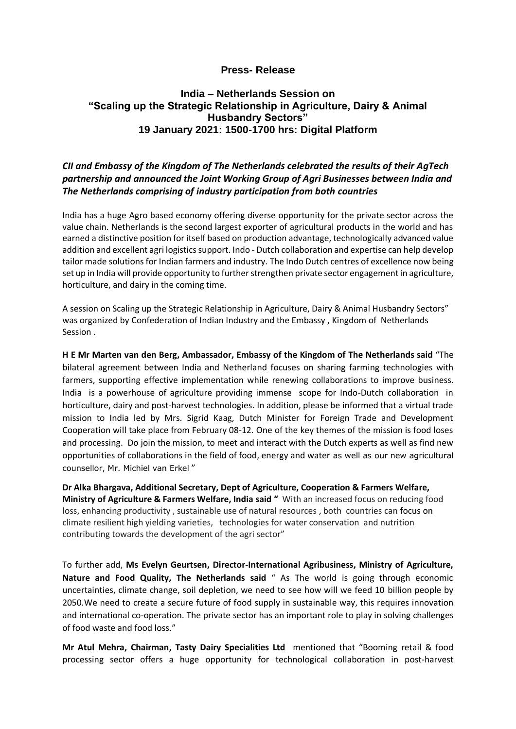## **Press- Release**

## **India – Netherlands Session on "Scaling up the Strategic Relationship in Agriculture, Dairy & Animal Husbandry Sectors" 19 January 2021: 1500-1700 hrs: Digital Platform**

## *CII and Embassy of the Kingdom of The Netherlands celebrated the results of their AgTech partnership and announced the Joint Working Group of Agri Businesses between India and The Netherlands comprising of industry participation from both countries*

India has a huge Agro based economy offering diverse opportunity for the private sector across the value chain. Netherlands is the second largest exporter of agricultural products in the world and has earned a distinctive position for itself based on production advantage, technologically advanced value addition and excellent agri logistics support. Indo - Dutch collaboration and expertise can help develop tailor made solutions for Indian farmers and industry. The Indo Dutch centres of excellence now being set up in India will provide opportunity to further strengthen private sector engagement in agriculture, horticulture, and dairy in the coming time.

A session on Scaling up the Strategic Relationship in Agriculture, Dairy & Animal Husbandry Sectors" was organized by Confederation of Indian Industry and the Embassy , Kingdom of Netherlands Session .

**H E Mr Marten van den Berg, Ambassador, Embassy of the Kingdom of The Netherlands said** "The bilateral agreement between India and Netherland focuses on sharing farming technologies with farmers, supporting effective implementation while renewing collaborations to improve business. India is a powerhouse of agriculture providing immense scope for Indo-Dutch collaboration in horticulture, dairy and post-harvest technologies. In addition, please be informed that a virtual trade mission to India led by Mrs. Sigrid Kaag, Dutch Minister for Foreign Trade and Development Cooperation will take place from February 08-12. One of the key themes of the mission is food loses and processing. Do join the mission, to meet and interact with the Dutch experts as well as find new opportunities of collaborations in the field of food, energy and water as well as our new agricultural counsellor, Mr. Michiel van Erkel "

**Dr Alka Bhargava, Additional Secretary, Dept of Agriculture, Cooperation & Farmers Welfare, Ministry of Agriculture & Farmers Welfare, India said "** With an increased focus on reducing food loss, enhancing productivity , sustainable use of natural resources , both countries can focus on climate resilient high yielding varieties, technologies for water conservation and nutrition contributing towards the development of the agri sector"

To further add, **Ms Evelyn Geurtsen, Director-International Agribusiness, Ministry of Agriculture, Nature and Food Quality, The Netherlands said** " As The world is going through economic uncertainties, climate change, soil depletion, we need to see how will we feed 10 billion people by 2050.We need to create a secure future of food supply in sustainable way, this requires innovation and international co-operation. The private sector has an important role to play in solving challenges of food waste and food loss."

**Mr Atul Mehra, Chairman, Tasty Dairy Specialities Ltd** mentioned that "Booming retail & food processing sector offers a huge opportunity for technological collaboration in post-harvest